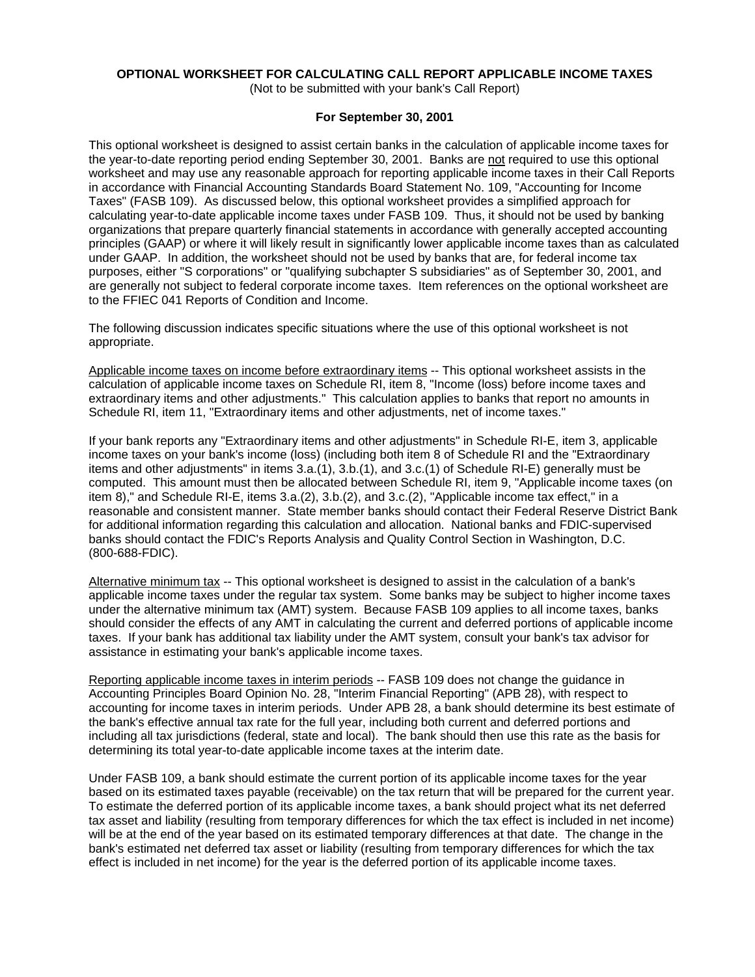# **OPTIONAL WORKSHEET FOR CALCULATING CALL REPORT APPLICABLE INCOME TAXES**

(Not to be submitted with your bank's Call Report)

## **For September 30, 2001**

This optional worksheet is designed to assist certain banks in the calculation of applicable income taxes for the year-to-date reporting period ending September 30, 2001. Banks are not required to use this optional worksheet and may use any reasonable approach for reporting applicable income taxes in their Call Reports in accordance with Financial Accounting Standards Board Statement No. 109, "Accounting for Income Taxes" (FASB 109). As discussed below, this optional worksheet provides a simplified approach for calculating year-to-date applicable income taxes under FASB 109. Thus, it should not be used by banking organizations that prepare quarterly financial statements in accordance with generally accepted accounting principles (GAAP) or where it will likely result in significantly lower applicable income taxes than as calculated under GAAP. In addition, the worksheet should not be used by banks that are, for federal income tax purposes, either "S corporations" or "qualifying subchapter S subsidiaries" as of September 30, 2001, and are generally not subject to federal corporate income taxes. Item references on the optional worksheet are to the FFIEC 041 Reports of Condition and Income.

The following discussion indicates specific situations where the use of this optional worksheet is not appropriate.

Applicable income taxes on income before extraordinary items -- This optional worksheet assists in the calculation of applicable income taxes on Schedule RI, item 8, "Income (loss) before income taxes and extraordinary items and other adjustments." This calculation applies to banks that report no amounts in Schedule RI, item 11, "Extraordinary items and other adjustments, net of income taxes."

If your bank reports any "Extraordinary items and other adjustments" in Schedule RI-E, item 3, applicable income taxes on your bank's income (loss) (including both item 8 of Schedule RI and the "Extraordinary items and other adjustments" in items 3.a.(1), 3.b.(1), and 3.c.(1) of Schedule RI-E) generally must be computed. This amount must then be allocated between Schedule RI, item 9, "Applicable income taxes (on item 8)," and Schedule RI-E, items 3.a.(2), 3.b.(2), and 3.c.(2), "Applicable income tax effect," in a reasonable and consistent manner. State member banks should contact their Federal Reserve District Bank for additional information regarding this calculation and allocation. National banks and FDIC-supervised banks should contact the FDIC's Reports Analysis and Quality Control Section in Washington, D.C. (800-688-FDIC).

Alternative minimum tax -- This optional worksheet is designed to assist in the calculation of a bank's applicable income taxes under the regular tax system. Some banks may be subject to higher income taxes under the alternative minimum tax (AMT) system. Because FASB 109 applies to all income taxes, banks should consider the effects of any AMT in calculating the current and deferred portions of applicable income taxes. If your bank has additional tax liability under the AMT system, consult your bank's tax advisor for assistance in estimating your bank's applicable income taxes.

Reporting applicable income taxes in interim periods -- FASB 109 does not change the guidance in Accounting Principles Board Opinion No. 28, "Interim Financial Reporting" (APB 28), with respect to accounting for income taxes in interim periods. Under APB 28, a bank should determine its best estimate of the bank's effective annual tax rate for the full year, including both current and deferred portions and including all tax jurisdictions (federal, state and local). The bank should then use this rate as the basis for determining its total year-to-date applicable income taxes at the interim date.

Under FASB 109, a bank should estimate the current portion of its applicable income taxes for the year based on its estimated taxes payable (receivable) on the tax return that will be prepared for the current year. To estimate the deferred portion of its applicable income taxes, a bank should project what its net deferred tax asset and liability (resulting from temporary differences for which the tax effect is included in net income) will be at the end of the year based on its estimated temporary differences at that date. The change in the bank's estimated net deferred tax asset or liability (resulting from temporary differences for which the tax effect is included in net income) for the year is the deferred portion of its applicable income taxes.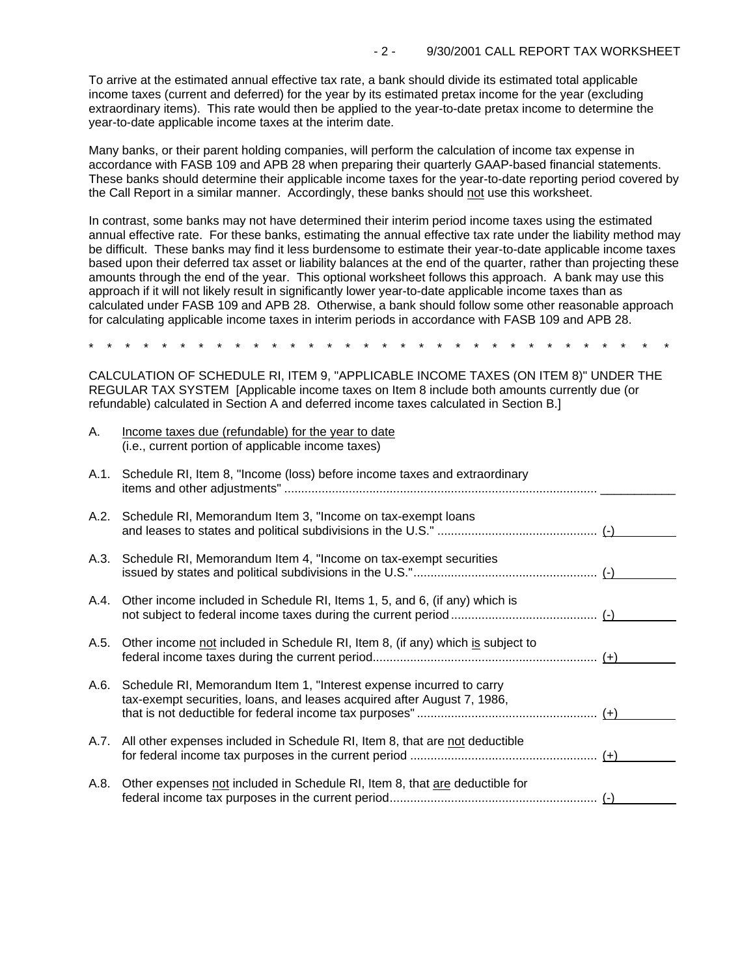To arrive at the estimated annual effective tax rate, a bank should divide its estimated total applicable income taxes (current and deferred) for the year by its estimated pretax income for the year (excluding extraordinary items). This rate would then be applied to the year-to-date pretax income to determine the year-to-date applicable income taxes at the interim date.

Many banks, or their parent holding companies, will perform the calculation of income tax expense in accordance with FASB 109 and APB 28 when preparing their quarterly GAAP-based financial statements. These banks should determine their applicable income taxes for the year-to-date reporting period covered by the Call Report in a similar manner. Accordingly, these banks should not use this worksheet.

In contrast, some banks may not have determined their interim period income taxes using the estimated annual effective rate. For these banks, estimating the annual effective tax rate under the liability method may be difficult. These banks may find it less burdensome to estimate their year-to-date applicable income taxes based upon their deferred tax asset or liability balances at the end of the quarter, rather than projecting these amounts through the end of the year. This optional worksheet follows this approach. A bank may use this approach if it will not likely result in significantly lower year-to-date applicable income taxes than as calculated under FASB 109 and APB 28. Otherwise, a bank should follow some other reasonable approach for calculating applicable income taxes in interim periods in accordance with FASB 109 and APB 28.

\* \* \* \* \* \* \* \* \* \* \* \* \* \* \* \* \* \* \* \* \* \* \* \* \* \* \* \* \* \* \* \*

CALCULATION OF SCHEDULE RI, ITEM 9, "APPLICABLE INCOME TAXES (ON ITEM 8)" UNDER THE REGULAR TAX SYSTEM [Applicable income taxes on Item 8 include both amounts currently due (or refundable) calculated in Section A and deferred income taxes calculated in Section B.]

| Α.   | Income taxes due (refundable) for the year to date<br>(i.e., current portion of applicable income taxes)                                            |  |
|------|-----------------------------------------------------------------------------------------------------------------------------------------------------|--|
| A.1. | Schedule RI, Item 8, "Income (loss) before income taxes and extraordinary                                                                           |  |
| A.2. | Schedule RI, Memorandum Item 3, "Income on tax-exempt Ioans"                                                                                        |  |
| A.3. | Schedule RI, Memorandum Item 4, "Income on tax-exempt securities                                                                                    |  |
|      | A.4. Other income included in Schedule RI, Items 1, 5, and 6, (if any) which is                                                                     |  |
| A.5. | Other income not included in Schedule RI, Item 8, (if any) which is subject to                                                                      |  |
|      | A.6. Schedule RI, Memorandum Item 1, "Interest expense incurred to carry<br>tax-exempt securities, loans, and leases acquired after August 7, 1986, |  |
|      | A.7. All other expenses included in Schedule RI, Item 8, that are not deductible                                                                    |  |
| A.8. | Other expenses not included in Schedule RI, Item 8, that are deductible for                                                                         |  |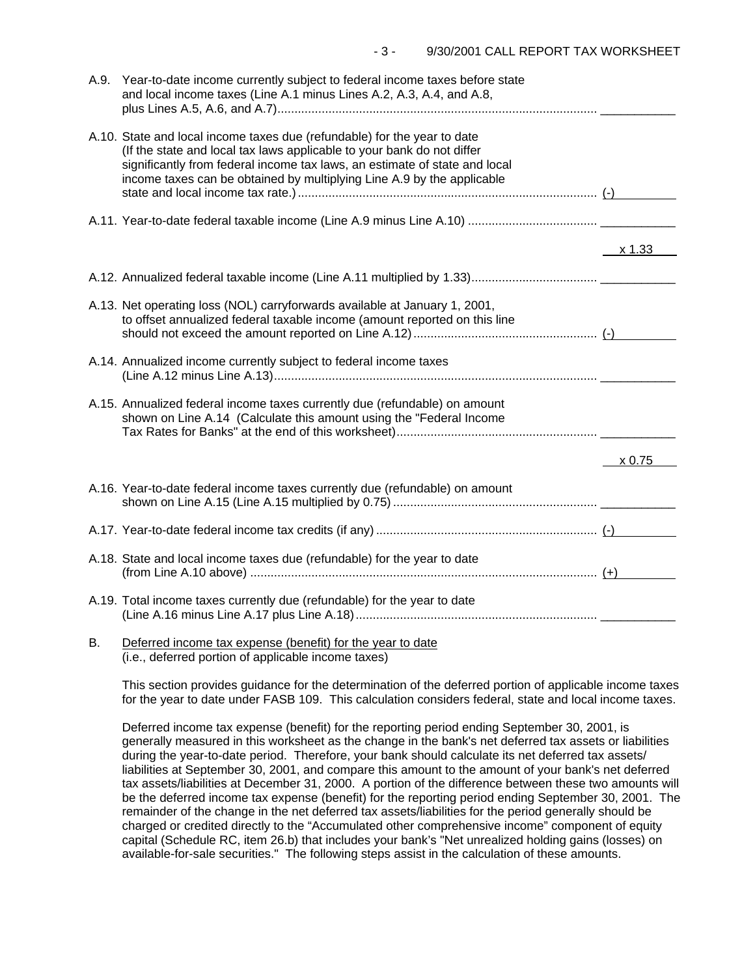| A.9. | Year-to-date income currently subject to federal income taxes before state<br>and local income taxes (Line A.1 minus Lines A.2, A.3, A.4, and A.8,                                                                                                                                                         |        |
|------|------------------------------------------------------------------------------------------------------------------------------------------------------------------------------------------------------------------------------------------------------------------------------------------------------------|--------|
|      | A.10. State and local income taxes due (refundable) for the year to date<br>(If the state and local tax laws applicable to your bank do not differ<br>significantly from federal income tax laws, an estimate of state and local<br>income taxes can be obtained by multiplying Line A.9 by the applicable |        |
|      |                                                                                                                                                                                                                                                                                                            |        |
|      |                                                                                                                                                                                                                                                                                                            | x 1.33 |
|      |                                                                                                                                                                                                                                                                                                            |        |
|      | A.13. Net operating loss (NOL) carryforwards available at January 1, 2001,<br>to offset annualized federal taxable income (amount reported on this line                                                                                                                                                    |        |
|      | A.14. Annualized income currently subject to federal income taxes                                                                                                                                                                                                                                          |        |
|      | A.15. Annualized federal income taxes currently due (refundable) on amount<br>shown on Line A.14 (Calculate this amount using the "Federal Income                                                                                                                                                          |        |
|      |                                                                                                                                                                                                                                                                                                            | x 0.75 |
|      | A.16. Year-to-date federal income taxes currently due (refundable) on amount                                                                                                                                                                                                                               |        |
|      |                                                                                                                                                                                                                                                                                                            |        |
|      | A.18. State and local income taxes due (refundable) for the year to date                                                                                                                                                                                                                                   |        |
|      | A.19. Total income taxes currently due (refundable) for the year to date                                                                                                                                                                                                                                   |        |
|      | $\mathbb{R}$ , $\mathbb{R}$ , and the set of the set of the set of the set of the set of the set of the set of the set of the set of the set of the set of the set of the set of the set of the set of the set of the set of the set                                                                       |        |

B. Deferred income tax expense (benefit) for the year to date (i.e., deferred portion of applicable income taxes)

This section provides guidance for the determination of the deferred portion of applicable income taxes for the year to date under FASB 109. This calculation considers federal, state and local income taxes.

Deferred income tax expense (benefit) for the reporting period ending September 30, 2001, is generally measured in this worksheet as the change in the bank's net deferred tax assets or liabilities during the year-to-date period. Therefore, your bank should calculate its net deferred tax assets/ liabilities at September 30, 2001, and compare this amount to the amount of your bank's net deferred tax assets/liabilities at December 31, 2000. A portion of the difference between these two amounts will be the deferred income tax expense (benefit) for the reporting period ending September 30, 2001. The remainder of the change in the net deferred tax assets/liabilities for the period generally should be charged or credited directly to the "Accumulated other comprehensive income" component of equity capital (Schedule RC, item 26.b) that includes your bank's "Net unrealized holding gains (losses) on available-for-sale securities." The following steps assist in the calculation of these amounts.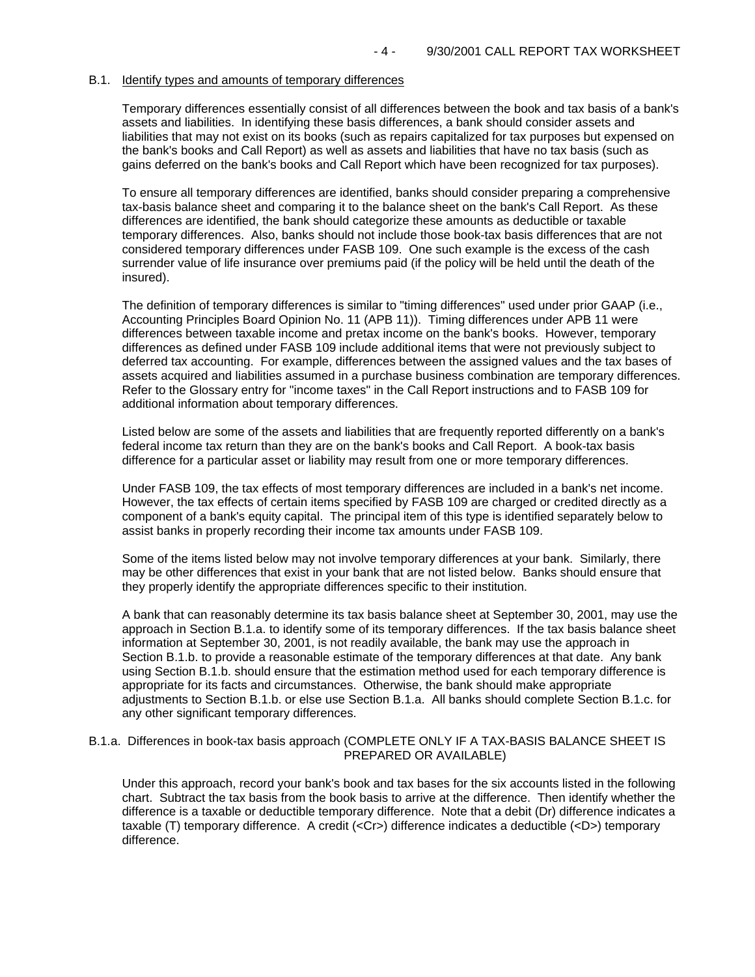### B.1. Identify types and amounts of temporary differences

Temporary differences essentially consist of all differences between the book and tax basis of a bank's assets and liabilities. In identifying these basis differences, a bank should consider assets and liabilities that may not exist on its books (such as repairs capitalized for tax purposes but expensed on the bank's books and Call Report) as well as assets and liabilities that have no tax basis (such as gains deferred on the bank's books and Call Report which have been recognized for tax purposes).

To ensure all temporary differences are identified, banks should consider preparing a comprehensive tax-basis balance sheet and comparing it to the balance sheet on the bank's Call Report. As these differences are identified, the bank should categorize these amounts as deductible or taxable temporary differences. Also, banks should not include those book-tax basis differences that are not considered temporary differences under FASB 109. One such example is the excess of the cash surrender value of life insurance over premiums paid (if the policy will be held until the death of the insured).

The definition of temporary differences is similar to "timing differences" used under prior GAAP (i.e., Accounting Principles Board Opinion No. 11 (APB 11)). Timing differences under APB 11 were differences between taxable income and pretax income on the bank's books. However, temporary differences as defined under FASB 109 include additional items that were not previously subject to deferred tax accounting. For example, differences between the assigned values and the tax bases of assets acquired and liabilities assumed in a purchase business combination are temporary differences. Refer to the Glossary entry for "income taxes" in the Call Report instructions and to FASB 109 for additional information about temporary differences.

Listed below are some of the assets and liabilities that are frequently reported differently on a bank's federal income tax return than they are on the bank's books and Call Report. A book-tax basis difference for a particular asset or liability may result from one or more temporary differences.

Under FASB 109, the tax effects of most temporary differences are included in a bank's net income. However, the tax effects of certain items specified by FASB 109 are charged or credited directly as a component of a bank's equity capital. The principal item of this type is identified separately below to assist banks in properly recording their income tax amounts under FASB 109.

Some of the items listed below may not involve temporary differences at your bank. Similarly, there may be other differences that exist in your bank that are not listed below. Banks should ensure that they properly identify the appropriate differences specific to their institution.

A bank that can reasonably determine its tax basis balance sheet at September 30, 2001, may use the approach in Section B.1.a. to identify some of its temporary differences. If the tax basis balance sheet information at September 30, 2001, is not readily available, the bank may use the approach in Section B.1.b. to provide a reasonable estimate of the temporary differences at that date. Any bank using Section B.1.b. should ensure that the estimation method used for each temporary difference is appropriate for its facts and circumstances. Otherwise, the bank should make appropriate adjustments to Section B.1.b. or else use Section B.1.a. All banks should complete Section B.1.c. for any other significant temporary differences.

### B.1.a. Differences in book-tax basis approach (COMPLETE ONLY IF A TAX-BASIS BALANCE SHEET IS PREPARED OR AVAILABLE)

Under this approach, record your bank's book and tax bases for the six accounts listed in the following chart. Subtract the tax basis from the book basis to arrive at the difference. Then identify whether the difference is a taxable or deductible temporary difference. Note that a debit (Dr) difference indicates a taxable (T) temporary difference. A credit (<Cr>) difference indicates a deductible (<D>) temporary difference.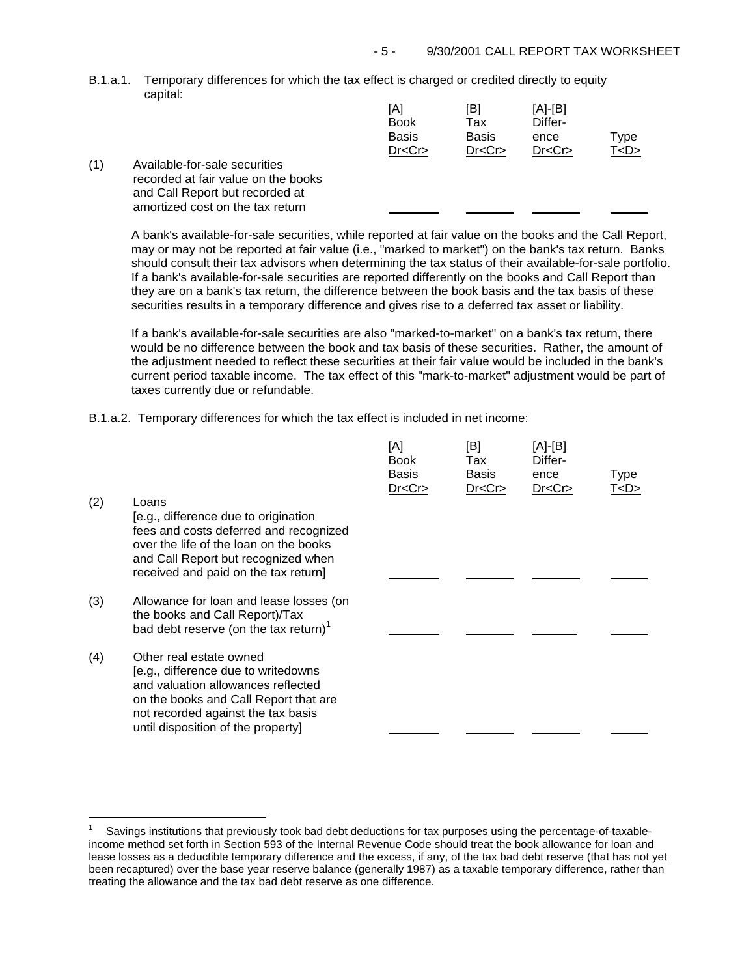B.1.a.1. Temporary differences for which the tax effect is charged or credited directly to equity capital:

|     |                                                                                                         | [A]<br><b>Book</b><br><b>Basis</b><br>Dr < Cr | [B]<br>Tax<br><b>Basis</b><br>Dr < Cr | [A]-[B]<br>Differ-<br>ence<br>Dr < Cr | Type<br>T < D > |
|-----|---------------------------------------------------------------------------------------------------------|-----------------------------------------------|---------------------------------------|---------------------------------------|-----------------|
| (1) | Available-for-sale securities<br>recorded at fair value on the books<br>and Call Report but recorded at |                                               |                                       |                                       |                 |

A bank's available-for-sale securities, while reported at fair value on the books and the Call Report, may or may not be reported at fair value (i.e., "marked to market") on the bank's tax return. Banks should consult their tax advisors when determining the tax status of their available-for-sale portfolio. If a bank's available-for-sale securities are reported differently on the books and Call Report than they are on a bank's tax return, the difference between the book basis and the tax basis of these securities results in a temporary difference and gives rise to a deferred tax asset or liability.

If a bank's available-for-sale securities are also "marked-to-market" on a bank's tax return, there would be no difference between the book and tax basis of these securities. Rather, the amount of the adjustment needed to reflect these securities at their fair value would be included in the bank's current period taxable income. The tax effect of this "mark-to-market" adjustment would be part of taxes currently due or refundable.

B.1.a.2. Temporary differences for which the tax effect is included in net income:

amortized cost on the tax return

| (2) | Loans<br>[e.g., difference due to origination<br>fees and costs deferred and recognized<br>over the life of the loan on the books<br>and Call Report but recognized when<br>received and paid on the tax return]          | [A]<br><b>Book</b><br>Basis<br>Dr < Cr | [B]<br>Tax<br>Basis<br>Dr < Cr | [A]-[B]<br>Differ-<br>ence<br>Dr < Cr | Type<br>T <d></d> |
|-----|---------------------------------------------------------------------------------------------------------------------------------------------------------------------------------------------------------------------------|----------------------------------------|--------------------------------|---------------------------------------|-------------------|
| (3) | Allowance for loan and lease losses (on<br>the books and Call Report)/Tax<br>bad debt reserve (on the tax return) <sup>1</sup>                                                                                            |                                        |                                |                                       |                   |
| (4) | Other real estate owned<br>[e.g., difference due to writedowns<br>and valuation allowances reflected<br>on the books and Call Report that are<br>not recorded against the tax basis<br>until disposition of the property] |                                        |                                |                                       |                   |

J.

Savings institutions that previously took bad debt deductions for tax purposes using the percentage-of-taxableincome method set forth in Section 593 of the Internal Revenue Code should treat the book allowance for loan and lease losses as a deductible temporary difference and the excess, if any, of the tax bad debt reserve (that has not yet been recaptured) over the base year reserve balance (generally 1987) as a taxable temporary difference, rather than treating the allowance and the tax bad debt reserve as one difference. 1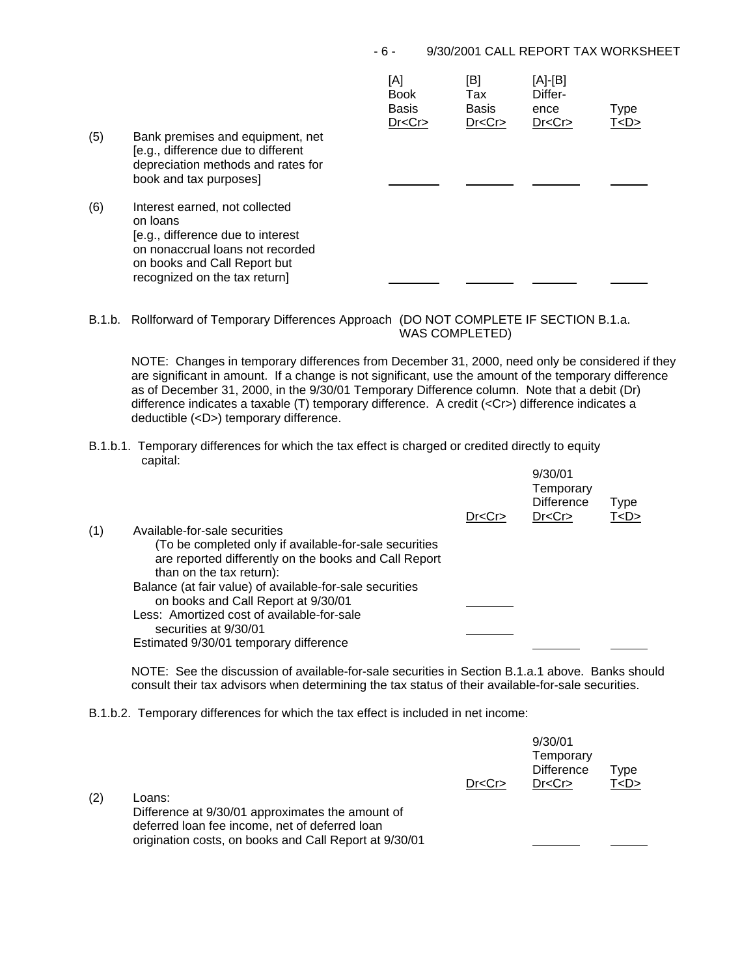## - 6 - 9/30/2001 CALL REPORT TAX WORKSHEET

| (5) | Bank premises and equipment, net<br>[e.g., difference due to different<br>depreciation methods and rates for<br>book and tax purposes]                                               | [A]<br><b>Book</b><br><b>Basis</b><br>Dr < Cr | [B]<br>Tax<br>Basis<br>Dr < Cr | [A]-[B]<br>Differ-<br>ence<br>Dr < Cr | Type<br>T <d></d> |
|-----|--------------------------------------------------------------------------------------------------------------------------------------------------------------------------------------|-----------------------------------------------|--------------------------------|---------------------------------------|-------------------|
| (6) | Interest earned, not collected<br>on loans<br>[e.g., difference due to interest<br>on nonaccrual loans not recorded<br>on books and Call Report but<br>recognized on the tax return] |                                               |                                |                                       |                   |

B.1.b. Rollforward of Temporary Differences Approach (DO NOT COMPLETE IF SECTION B.1.a. WAS COMPLETED)

NOTE: Changes in temporary differences from December 31, 2000, need only be considered if they are significant in amount. If a change is not significant, use the amount of the temporary difference as of December 31, 2000, in the 9/30/01 Temporary Difference column. Note that a debit (Dr) difference indicates a taxable (T) temporary difference. A credit (<Cr>) difference indicates a deductible (<D>) temporary difference.

B.1.b.1. Temporary differences for which the tax effect is charged or credited directly to equity capital:  $0/20/01$ 

| (1) | Available-for-sale securities<br>(To be completed only if available-for-sale securities                       | Dr < Cr | 9/30/UT<br>Temporary<br><b>Difference</b><br>Dr < Cr | Type<br>T < D > |
|-----|---------------------------------------------------------------------------------------------------------------|---------|------------------------------------------------------|-----------------|
|     | are reported differently on the books and Call Report<br>than on the tax return):                             |         |                                                      |                 |
|     | Balance (at fair value) of available-for-sale securities<br>on books and Call Report at 9/30/01               |         |                                                      |                 |
|     | Less: Amortized cost of available-for-sale<br>securities at 9/30/01<br>Estimated 9/30/01 temporary difference |         |                                                      |                 |
|     |                                                                                                               |         |                                                      |                 |

NOTE: See the discussion of available-for-sale securities in Section B.1.a.1 above. Banks should consult their tax advisors when determining the tax status of their available-for-sale securities.

B.1.b.2. Temporary differences for which the tax effect is included in net income:

| (2) | Loans:<br>Difference at 9/30/01 approximates the amount of<br>deferred loan fee income, net of deferred loan<br>origination costs, on books and Call Report at 9/30/01 | Dr < Cr | 9/30/01<br>Temporary<br><b>Difference</b><br>Dr < Cr | Type<br>T <d></d> |
|-----|------------------------------------------------------------------------------------------------------------------------------------------------------------------------|---------|------------------------------------------------------|-------------------|
|     |                                                                                                                                                                        |         |                                                      |                   |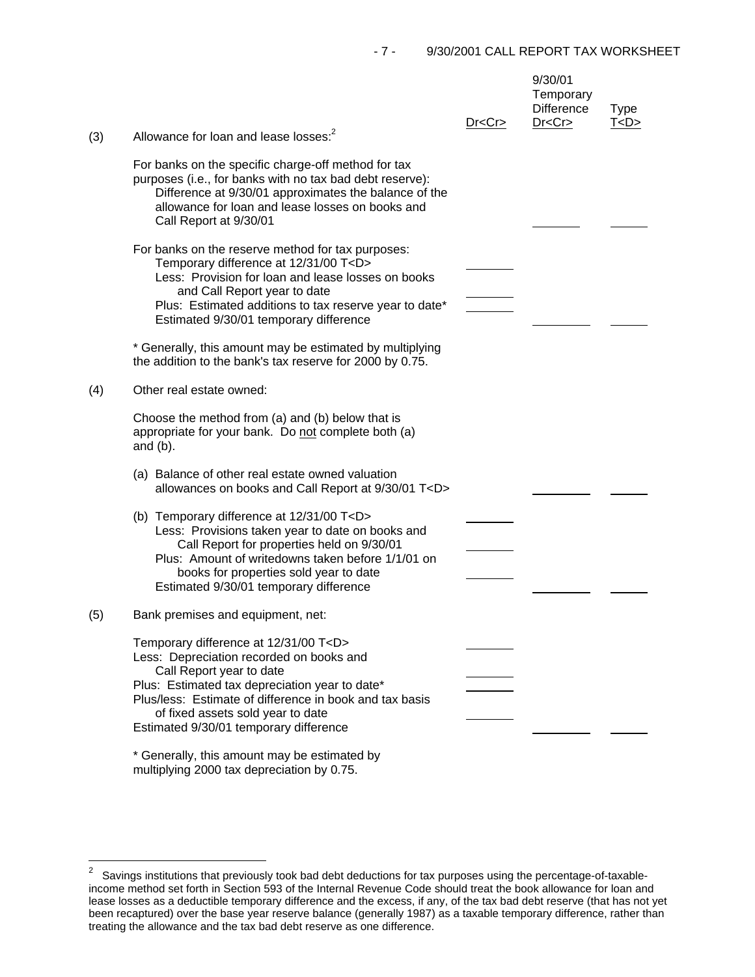|     |                                                                                                                                                                                                                                                                                                                      | Dr < Cr | 9/30/01<br>Temporary<br><b>Difference</b><br>Dr < Cr | <b>Type</b><br>T < D > |
|-----|----------------------------------------------------------------------------------------------------------------------------------------------------------------------------------------------------------------------------------------------------------------------------------------------------------------------|---------|------------------------------------------------------|------------------------|
| (3) | Allowance for loan and lease losses: <sup>2</sup>                                                                                                                                                                                                                                                                    |         |                                                      |                        |
|     | For banks on the specific charge-off method for tax<br>purposes (i.e., for banks with no tax bad debt reserve):<br>Difference at 9/30/01 approximates the balance of the<br>allowance for loan and lease losses on books and<br>Call Report at 9/30/01                                                               |         |                                                      |                        |
|     | For banks on the reserve method for tax purposes:<br>Temporary difference at 12/31/00 T <d><br/>Less: Provision for loan and lease losses on books<br/>and Call Report year to date<br/>Plus: Estimated additions to tax reserve year to date*<br/>Estimated 9/30/01 temporary difference</d>                        |         |                                                      |                        |
|     | * Generally, this amount may be estimated by multiplying<br>the addition to the bank's tax reserve for 2000 by 0.75.                                                                                                                                                                                                 |         |                                                      |                        |
| (4) | Other real estate owned:                                                                                                                                                                                                                                                                                             |         |                                                      |                        |
|     | Choose the method from (a) and (b) below that is<br>appropriate for your bank. Do not complete both (a)<br>and $(b)$ .                                                                                                                                                                                               |         |                                                      |                        |
|     | (a) Balance of other real estate owned valuation<br>allowances on books and Call Report at 9/30/01 T <d></d>                                                                                                                                                                                                         |         |                                                      |                        |
|     | (b) Temporary difference at 12/31/00 T <d><br/>Less: Provisions taken year to date on books and<br/>Call Report for properties held on 9/30/01<br/>Plus: Amount of writedowns taken before 1/1/01 on<br/>books for properties sold year to date<br/>Estimated 9/30/01 temporary difference</d>                       |         |                                                      |                        |
| (5) | Bank premises and equipment, net:                                                                                                                                                                                                                                                                                    |         |                                                      |                        |
|     | Temporary difference at 12/31/00 T <d><br/>Less: Depreciation recorded on books and<br/>Call Report year to date<br/>Plus: Estimated tax depreciation year to date*<br/>Plus/less: Estimate of difference in book and tax basis<br/>of fixed assets sold year to date<br/>Estimated 9/30/01 temporary difference</d> |         |                                                      |                        |
|     | * Generally, this amount may be estimated by                                                                                                                                                                                                                                                                         |         |                                                      |                        |

multiplying 2000 tax depreciation by 0.75.

J.

 2 Savings institutions that previously took bad debt deductions for tax purposes using the percentage-of-taxableincome method set forth in Section 593 of the Internal Revenue Code should treat the book allowance for loan and lease losses as a deductible temporary difference and the excess, if any, of the tax bad debt reserve (that has not yet been recaptured) over the base year reserve balance (generally 1987) as a taxable temporary difference, rather than treating the allowance and the tax bad debt reserve as one difference.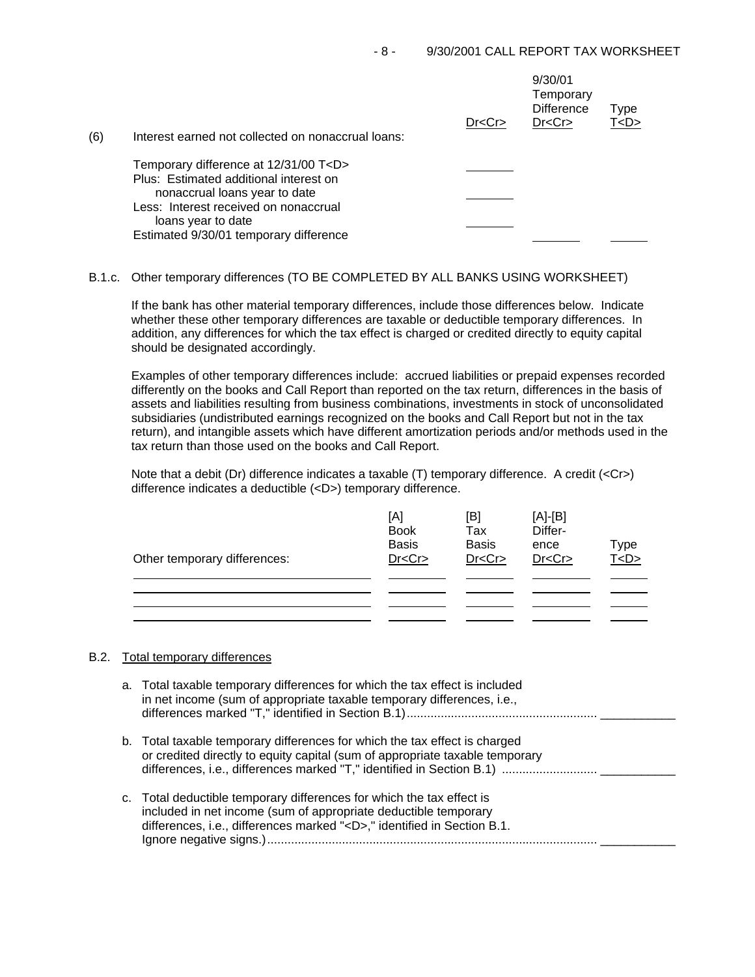| (6) | Interest earned not collected on nonaccrual loans:           | Dr < Cr | 9/30/01<br>Temporary<br><b>Difference</b><br>Dr < Cr | Type<br>T <d></d> |
|-----|--------------------------------------------------------------|---------|------------------------------------------------------|-------------------|
|     | Temporary difference at 12/31/00 T <d></d>                   |         |                                                      |                   |
|     | Plus: Estimated additional interest on                       |         |                                                      |                   |
|     | nonaccrual loans year to date                                |         |                                                      |                   |
|     | Less: Interest received on nonaccrual                        |         |                                                      |                   |
|     | loans year to date<br>Estimated 9/30/01 temporary difference |         |                                                      |                   |
|     |                                                              |         |                                                      |                   |

## B.1.c. Other temporary differences (TO BE COMPLETED BY ALL BANKS USING WORKSHEET)

If the bank has other material temporary differences, include those differences below. Indicate whether these other temporary differences are taxable or deductible temporary differences. In addition, any differences for which the tax effect is charged or credited directly to equity capital should be designated accordingly.

Examples of other temporary differences include: accrued liabilities or prepaid expenses recorded differently on the books and Call Report than reported on the tax return, differences in the basis of assets and liabilities resulting from business combinations, investments in stock of unconsolidated subsidiaries (undistributed earnings recognized on the books and Call Report but not in the tax return), and intangible assets which have different amortization periods and/or methods used in the tax return than those used on the books and Call Report.

Note that a debit (Dr) difference indicates a taxable (T) temporary difference. A credit (<Cr>>Cr>) difference indicates a deductible (<D>) temporary difference.

| Other temporary differences: | [A]<br><b>Book</b><br><b>Basis</b><br>Dr < Cr | [B]<br>Tax<br><b>Basis</b><br>Dr < Cr | $[A]-[B]$<br>Differ-<br>ence<br>Dr < Cr | Type<br>T < D > |
|------------------------------|-----------------------------------------------|---------------------------------------|-----------------------------------------|-----------------|
|                              |                                               |                                       |                                         |                 |

## B.2. Total temporary differences

| a. Total taxable temporary differences for which the tax effect is included<br>in net income (sum of appropriate taxable temporary differences, i.e.,                                                                    |
|--------------------------------------------------------------------------------------------------------------------------------------------------------------------------------------------------------------------------|
| b. Total taxable temporary differences for which the tax effect is charged<br>or credited directly to equity capital (sum of appropriate taxable temporary                                                               |
| c. Total deductible temporary differences for which the tax effect is<br>included in net income (sum of appropriate deductible temporary<br>differences, i.e., differences marked " <d>," identified in Section B.1.</d> |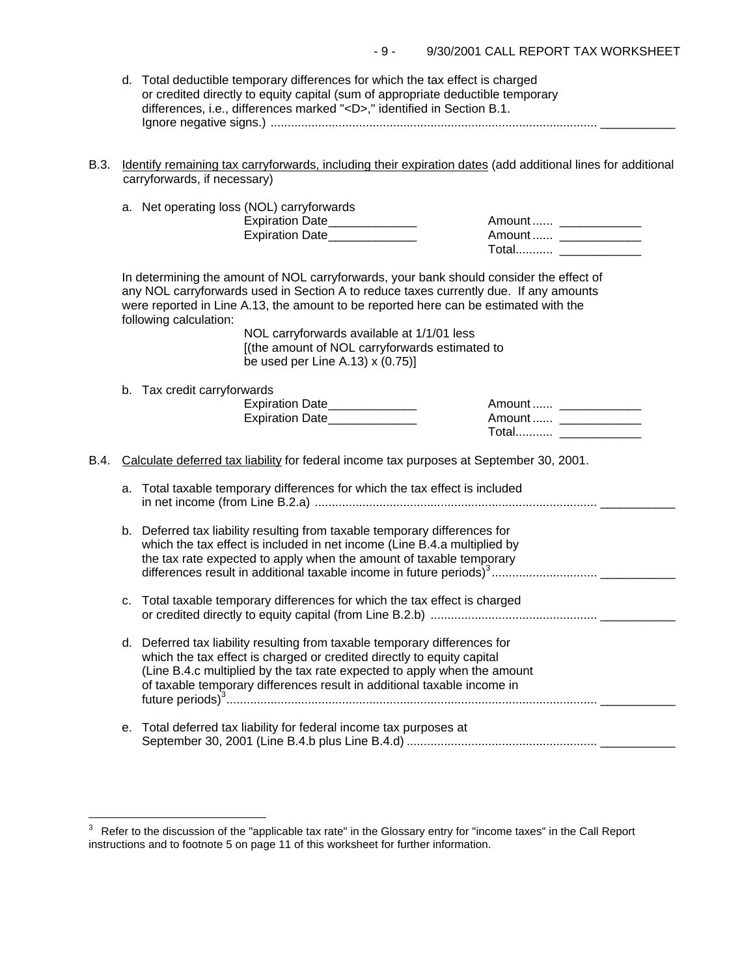| d. Total deductible temporary differences for which the tax effect is charged   |
|---------------------------------------------------------------------------------|
| or credited directly to equity capital (sum of appropriate deductible temporary |
| differences, i.e., differences marked " <d>," identified in Section B.1.</d>    |
|                                                                                 |

B.3. Identify remaining tax carryforwards, including their expiration dates (add additional lines for additional carryforwards, if necessary)

|      |    | a. Net operating loss (NOL) carryforwards<br>Expiration Date______________<br>Expiration Date                                                                                                                                                                                                                                                                                                                                                 | Amount  ______________<br>Amount  _______________<br>Total ______________ |  |
|------|----|-----------------------------------------------------------------------------------------------------------------------------------------------------------------------------------------------------------------------------------------------------------------------------------------------------------------------------------------------------------------------------------------------------------------------------------------------|---------------------------------------------------------------------------|--|
|      |    | In determining the amount of NOL carryforwards, your bank should consider the effect of<br>any NOL carryforwards used in Section A to reduce taxes currently due. If any amounts<br>were reported in Line A.13, the amount to be reported here can be estimated with the<br>following calculation:<br>NOL carryforwards available at 1/1/01 less<br>[(the amount of NOL carryforwards estimated to<br>be used per Line A.13) $\times$ (0.75)] |                                                                           |  |
|      |    | b. Tax credit carryforwards<br>Expiration Date______________<br>Expiration Date______________                                                                                                                                                                                                                                                                                                                                                 | Amount  ____________<br>Amount  _______________<br>Total ________________ |  |
| B.4. |    | Calculate deferred tax liability for federal income tax purposes at September 30, 2001.                                                                                                                                                                                                                                                                                                                                                       |                                                                           |  |
|      | a. | Total taxable temporary differences for which the tax effect is included                                                                                                                                                                                                                                                                                                                                                                      |                                                                           |  |
|      |    | b. Deferred tax liability resulting from taxable temporary differences for<br>which the tax effect is included in net income (Line B.4.a multiplied by<br>the tax rate expected to apply when the amount of taxable temporary<br>differences result in additional taxable income in future periods) <sup>3</sup>                                                                                                                              |                                                                           |  |
|      | C. | Total taxable temporary differences for which the tax effect is charged                                                                                                                                                                                                                                                                                                                                                                       |                                                                           |  |
|      |    | d. Deferred tax liability resulting from taxable temporary differences for<br>which the tax effect is charged or credited directly to equity capital<br>(Line B.4.c multiplied by the tax rate expected to apply when the amount<br>of taxable temporary differences result in additional taxable income in                                                                                                                                   |                                                                           |  |
|      | е. | Total deferred tax liability for federal income tax purposes at                                                                                                                                                                                                                                                                                                                                                                               |                                                                           |  |

j.

 $3$  Refer to the discussion of the "applicable tax rate" in the Glossary entry for "income taxes" in the Call Report instructions and to footnote 5 on page 11 of this worksheet for further information.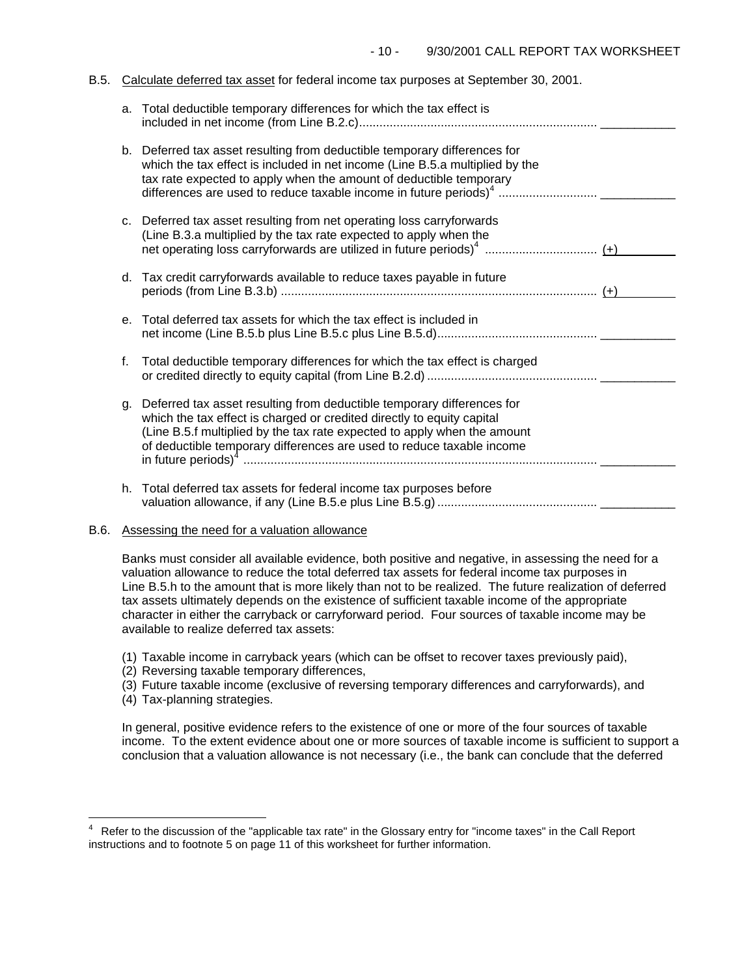#### B.5. Calculate deferred tax asset for federal income tax purposes at September 30, 2001.

|    | a. Total deductible temporary differences for which the tax effect is                                                                                                                                                                                                                                    |  |
|----|----------------------------------------------------------------------------------------------------------------------------------------------------------------------------------------------------------------------------------------------------------------------------------------------------------|--|
|    | b. Deferred tax asset resulting from deductible temporary differences for<br>which the tax effect is included in net income (Line B.5.a multiplied by the<br>tax rate expected to apply when the amount of deductible temporary                                                                          |  |
|    | c. Deferred tax asset resulting from net operating loss carryforwards<br>(Line B.3.a multiplied by the tax rate expected to apply when the                                                                                                                                                               |  |
|    | d. Tax credit carryforwards available to reduce taxes payable in future                                                                                                                                                                                                                                  |  |
|    | e. Total deferred tax assets for which the tax effect is included in                                                                                                                                                                                                                                     |  |
| f. | Total deductible temporary differences for which the tax effect is charged                                                                                                                                                                                                                               |  |
|    | g. Deferred tax asset resulting from deductible temporary differences for<br>which the tax effect is charged or credited directly to equity capital<br>(Line B.5.f multiplied by the tax rate expected to apply when the amount<br>of deductible temporary differences are used to reduce taxable income |  |
|    | h. Total deferred tax assets for federal income tax purposes before                                                                                                                                                                                                                                      |  |

## B.6. Assessing the need for a valuation allowance

Banks must consider all available evidence, both positive and negative, in assessing the need for a valuation allowance to reduce the total deferred tax assets for federal income tax purposes in Line B.5.h to the amount that is more likely than not to be realized. The future realization of deferred tax assets ultimately depends on the existence of sufficient taxable income of the appropriate character in either the carryback or carryforward period. Four sources of taxable income may be available to realize deferred tax assets:

- (1) Taxable income in carryback years (which can be offset to recover taxes previously paid),
- (2) Reversing taxable temporary differences,
- (3) Future taxable income (exclusive of reversing temporary differences and carryforwards), and
- (4) Tax-planning strategies.

J.

In general, positive evidence refers to the existence of one or more of the four sources of taxable income. To the extent evidence about one or more sources of taxable income is sufficient to support a conclusion that a valuation allowance is not necessary (i.e., the bank can conclude that the deferred

<sup>4</sup> Refer to the discussion of the "applicable tax rate" in the Glossary entry for "income taxes" in the Call Report instructions and to footnote 5 on page 11 of this worksheet for further information.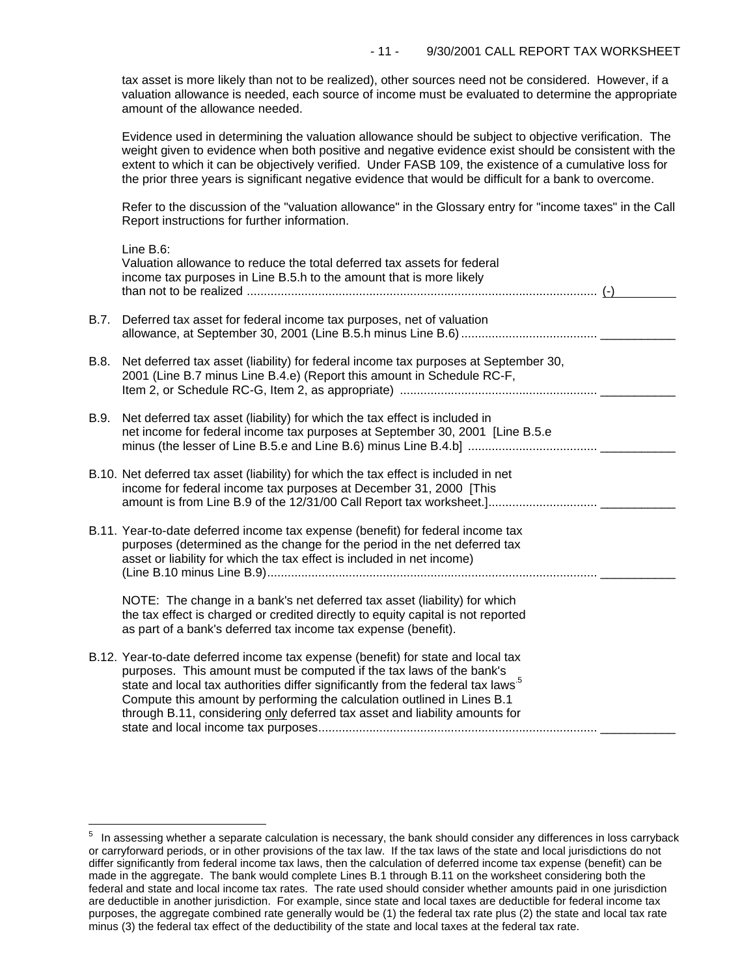tax asset is more likely than not to be realized), other sources need not be considered. However, if a valuation allowance is needed, each source of income must be evaluated to determine the appropriate amount of the allowance needed.

Evidence used in determining the valuation allowance should be subject to objective verification. The weight given to evidence when both positive and negative evidence exist should be consistent with the extent to which it can be objectively verified. Under FASB 109, the existence of a cumulative loss for the prior three years is significant negative evidence that would be difficult for a bank to overcome.

Refer to the discussion of the "valuation allowance" in the Glossary entry for "income taxes" in the Call Report instructions for further information.

|      | Line B.6:<br>Valuation allowance to reduce the total deferred tax assets for federal<br>income tax purposes in Line B.5.h to the amount that is more likely                                                                                                                                                                                                                                                       |  |
|------|-------------------------------------------------------------------------------------------------------------------------------------------------------------------------------------------------------------------------------------------------------------------------------------------------------------------------------------------------------------------------------------------------------------------|--|
| B.7. | Deferred tax asset for federal income tax purposes, net of valuation                                                                                                                                                                                                                                                                                                                                              |  |
| B.8. | Net deferred tax asset (liability) for federal income tax purposes at September 30,<br>2001 (Line B.7 minus Line B.4.e) (Report this amount in Schedule RC-F,                                                                                                                                                                                                                                                     |  |
| B.9. | Net deferred tax asset (liability) for which the tax effect is included in<br>net income for federal income tax purposes at September 30, 2001 [Line B.5.e                                                                                                                                                                                                                                                        |  |
|      | B.10. Net deferred tax asset (liability) for which the tax effect is included in net<br>income for federal income tax purposes at December 31, 2000 [This                                                                                                                                                                                                                                                         |  |
|      | B.11. Year-to-date deferred income tax expense (benefit) for federal income tax<br>purposes (determined as the change for the period in the net deferred tax<br>asset or liability for which the tax effect is included in net income)                                                                                                                                                                            |  |
|      | NOTE: The change in a bank's net deferred tax asset (liability) for which<br>the tax effect is charged or credited directly to equity capital is not reported<br>as part of a bank's deferred tax income tax expense (benefit).                                                                                                                                                                                   |  |
|      | B.12. Year-to-date deferred income tax expense (benefit) for state and local tax<br>purposes. This amount must be computed if the tax laws of the bank's<br>state and local tax authorities differ significantly from the federal tax laws <sup>5</sup><br>Compute this amount by performing the calculation outlined in Lines B.1<br>through B.11, considering only deferred tax asset and liability amounts for |  |

i<br>L

 $5$  In assessing whether a separate calculation is necessary, the bank should consider any differences in loss carryback or carryforward periods, or in other provisions of the tax law. If the tax laws of the state and local jurisdictions do not differ significantly from federal income tax laws, then the calculation of deferred income tax expense (benefit) can be made in the aggregate. The bank would complete Lines B.1 through B.11 on the worksheet considering both the federal and state and local income tax rates. The rate used should consider whether amounts paid in one jurisdiction are deductible in another jurisdiction. For example, since state and local taxes are deductible for federal income tax purposes, the aggregate combined rate generally would be (1) the federal tax rate plus (2) the state and local tax rate minus (3) the federal tax effect of the deductibility of the state and local taxes at the federal tax rate.